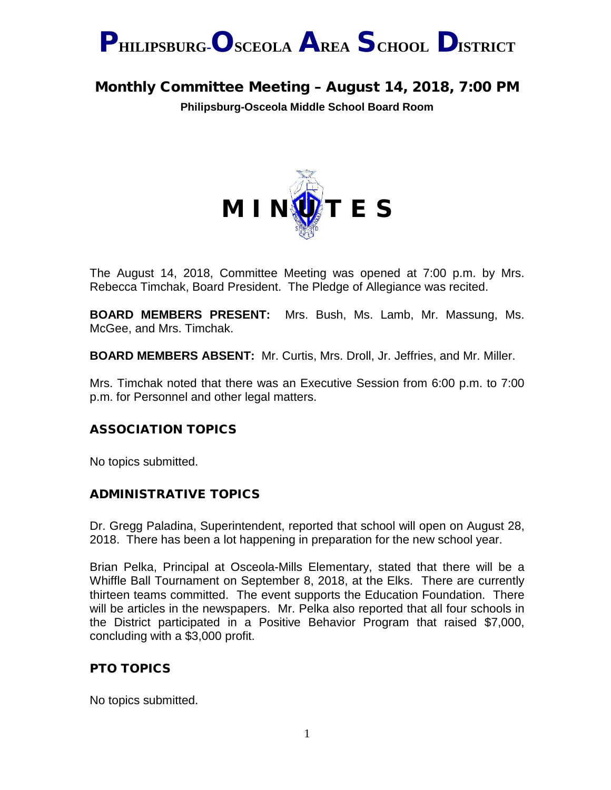

Monthly Committee Meeting – August 14, 2018, 7:00 PM

**Philipsburg-Osceola Middle School Board Room**



The August 14, 2018, Committee Meeting was opened at 7:00 p.m. by Mrs. Rebecca Timchak, Board President. The Pledge of Allegiance was recited.

**BOARD MEMBERS PRESENT:** Mrs. Bush, Ms. Lamb, Mr. Massung, Ms. McGee, and Mrs. Timchak.

**BOARD MEMBERS ABSENT:** Mr. Curtis, Mrs. Droll, Jr. Jeffries, and Mr. Miller.

Mrs. Timchak noted that there was an Executive Session from 6:00 p.m. to 7:00 p.m. for Personnel and other legal matters.

# ASSOCIATION TOPICS

No topics submitted.

# ADMINISTRATIVE TOPICS

Dr. Gregg Paladina, Superintendent, reported that school will open on August 28, 2018. There has been a lot happening in preparation for the new school year.

Brian Pelka, Principal at Osceola-Mills Elementary, stated that there will be a Whiffle Ball Tournament on September 8, 2018, at the Elks. There are currently thirteen teams committed. The event supports the Education Foundation. There will be articles in the newspapers. Mr. Pelka also reported that all four schools in the District participated in a Positive Behavior Program that raised \$7,000, concluding with a \$3,000 profit.

# PTO TOPICS

No topics submitted.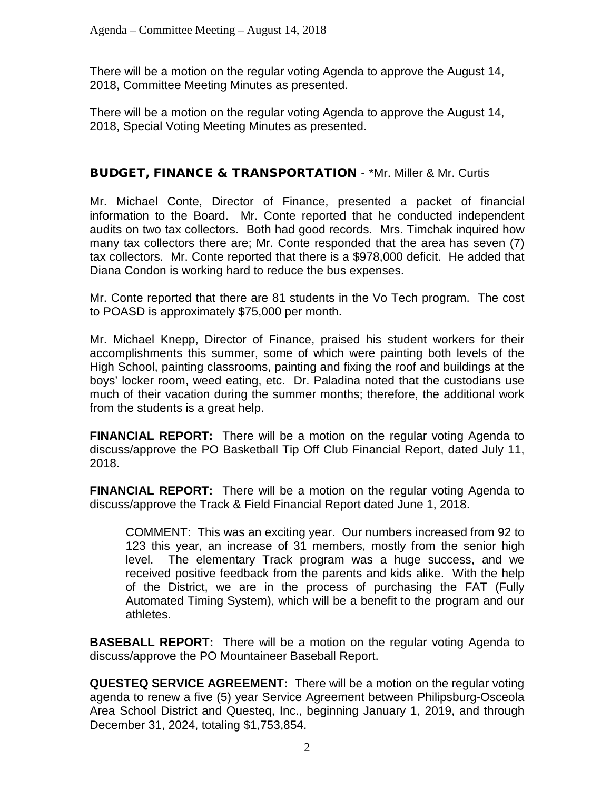There will be a motion on the regular voting Agenda to approve the August 14, 2018, Committee Meeting Minutes as presented.

There will be a motion on the regular voting Agenda to approve the August 14, 2018, Special Voting Meeting Minutes as presented.

### BUDGET, FINANCE & TRANSPORTATION - \*Mr. Miller & Mr. Curtis

Mr. Michael Conte, Director of Finance, presented a packet of financial information to the Board. Mr. Conte reported that he conducted independent audits on two tax collectors. Both had good records. Mrs. Timchak inquired how many tax collectors there are; Mr. Conte responded that the area has seven (7) tax collectors. Mr. Conte reported that there is a \$978,000 deficit. He added that Diana Condon is working hard to reduce the bus expenses.

Mr. Conte reported that there are 81 students in the Vo Tech program. The cost to POASD is approximately \$75,000 per month.

Mr. Michael Knepp, Director of Finance, praised his student workers for their accomplishments this summer, some of which were painting both levels of the High School, painting classrooms, painting and fixing the roof and buildings at the boys' locker room, weed eating, etc. Dr. Paladina noted that the custodians use much of their vacation during the summer months; therefore, the additional work from the students is a great help.

**FINANCIAL REPORT:** There will be a motion on the regular voting Agenda to discuss/approve the PO Basketball Tip Off Club Financial Report, dated July 11, 2018.

**FINANCIAL REPORT:** There will be a motion on the regular voting Agenda to discuss/approve the Track & Field Financial Report dated June 1, 2018.

COMMENT: This was an exciting year. Our numbers increased from 92 to 123 this year, an increase of 31 members, mostly from the senior high level. The elementary Track program was a huge success, and we received positive feedback from the parents and kids alike. With the help of the District, we are in the process of purchasing the FAT (Fully Automated Timing System), which will be a benefit to the program and our athletes.

**BASEBALL REPORT:** There will be a motion on the regular voting Agenda to discuss/approve the PO Mountaineer Baseball Report.

**QUESTEQ SERVICE AGREEMENT:** There will be a motion on the regular voting agenda to renew a five (5) year Service Agreement between Philipsburg-Osceola Area School District and Questeq, Inc., beginning January 1, 2019, and through December 31, 2024, totaling \$1,753,854.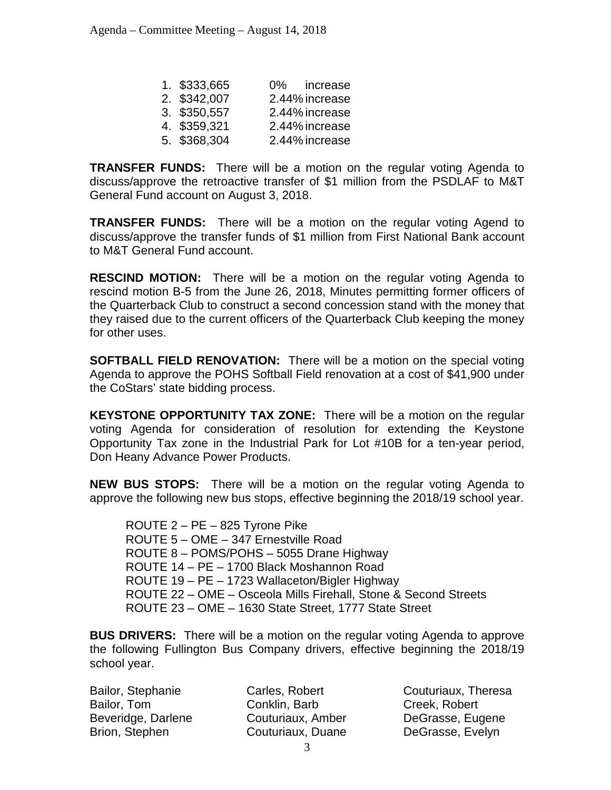| 1. \$333,665 | 0% increase    |  |
|--------------|----------------|--|
| 2. \$342,007 | 2.44% increase |  |
| 3. \$350,557 | 2.44% increase |  |
| 4. \$359,321 | 2.44% increase |  |
| 5. \$368,304 | 2.44% increase |  |

**TRANSFER FUNDS:** There will be a motion on the regular voting Agenda to discuss/approve the retroactive transfer of \$1 million from the PSDLAF to M&T General Fund account on August 3, 2018.

**TRANSFER FUNDS:** There will be a motion on the regular voting Agend to discuss/approve the transfer funds of \$1 million from First National Bank account to M&T General Fund account.

**RESCIND MOTION:** There will be a motion on the regular voting Agenda to rescind motion B-5 from the June 26, 2018, Minutes permitting former officers of the Quarterback Club to construct a second concession stand with the money that they raised due to the current officers of the Quarterback Club keeping the money for other uses.

**SOFTBALL FIELD RENOVATION:** There will be a motion on the special voting Agenda to approve the POHS Softball Field renovation at a cost of \$41,900 under the CoStars' state bidding process.

**KEYSTONE OPPORTUNITY TAX ZONE:** There will be a motion on the regular voting Agenda for consideration of resolution for extending the Keystone Opportunity Tax zone in the Industrial Park for Lot #10B for a ten-year period, Don Heany Advance Power Products.

**NEW BUS STOPS:** There will be a motion on the regular voting Agenda to approve the following new bus stops, effective beginning the 2018/19 school year.

ROUTE 2 – PE – 825 Tyrone Pike ROUTE 5 – OME – 347 Ernestville Road ROUTE 8 – POMS/POHS – 5055 Drane Highway ROUTE 14 – PE – 1700 Black Moshannon Road ROUTE 19 – PE – 1723 Wallaceton/Bigler Highway ROUTE 22 – OME – Osceola Mills Firehall, Stone & Second Streets ROUTE 23 – OME – 1630 State Street, 1777 State Street

**BUS DRIVERS:** There will be a motion on the regular voting Agenda to approve the following Fullington Bus Company drivers, effective beginning the 2018/19 school year.

Bailor, Stephanie Bailor, Tom Beveridge, Darlene Brion, Stephen

Carles, Robert Conklin, Barb Couturiaux, Amber Couturiaux, Duane

Couturiaux, Theresa Creek, Robert DeGrasse, Eugene DeGrasse, Evelyn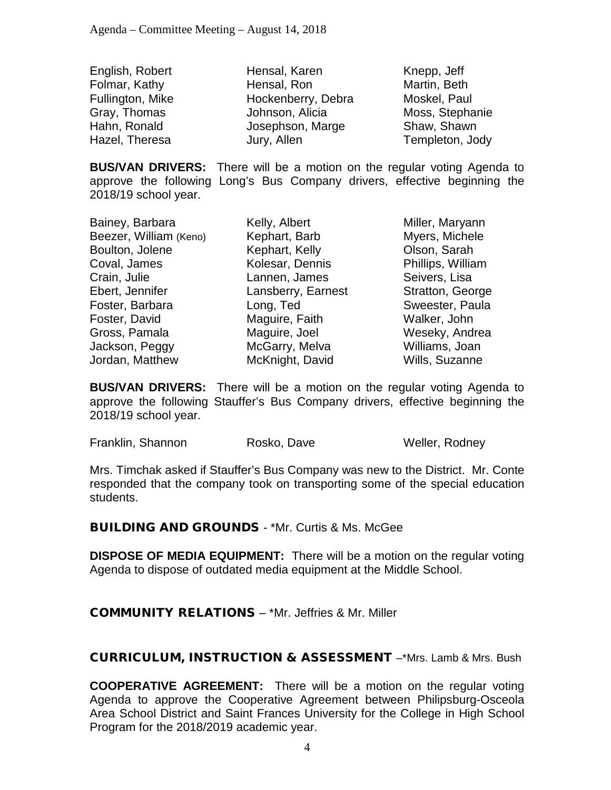English, Robert Folmar, Kathy Fullington, Mike Gray, Thomas Hahn, Ronald Hazel, Theresa

Hensal, Karen Hensal, Ron Hockenberry, Debra Johnson, Alicia Josephson, Marge Jury, Allen

Knepp, Jeff Martin, Beth Moskel, Paul Moss, Stephanie Shaw, Shawn Templeton, Jody

**BUS/VAN DRIVERS:** There will be a motion on the regular voting Agenda to approve the following Long's Bus Company drivers, effective beginning the 2018/19 school year.

Bainey, Barbara Beezer, William (Keno) Boulton, Jolene Coval, James Crain, Julie Ebert, Jennifer Foster, Barbara Foster, David Gross, Pamala Jackson, Peggy Jordan, Matthew

Kelly, Albert Kephart, Barb Kephart, Kelly Kolesar, Dennis Lannen, James Lansberry, Earnest Long, Ted Maguire, Faith Maguire, Joel McGarry, Melva McKnight, David

Miller, Maryann Myers, Michele Olson, Sarah Phillips, William Seivers, Lisa Stratton, George Sweester, Paula Walker, John Weseky, Andrea Williams, Joan Wills, Suzanne

**BUS/VAN DRIVERS:** There will be a motion on the regular voting Agenda to approve the following Stauffer's Bus Company drivers, effective beginning the 2018/19 school year.

Franklin, Shannon **Rosko, Dave** Weller, Rodney

Mrs. Timchak asked if Stauffer's Bus Company was new to the District. Mr. Conte responded that the company took on transporting some of the special education students.

BUILDING AND GROUNDS - \*Mr. Curtis & Ms. McGee

**DISPOSE OF MEDIA EQUIPMENT:** There will be a motion on the regular voting Agenda to dispose of outdated media equipment at the Middle School.

COMMUNITY RELATIONS – \*Mr. Jeffries & Mr. Miller

CURRICULUM, INSTRUCTION & ASSESSMENT –\*Mrs. Lamb & Mrs. Bush

**COOPERATIVE AGREEMENT:** There will be a motion on the regular voting Agenda to approve the Cooperative Agreement between Philipsburg-Osceola Area School District and Saint Frances University for the College in High School Program for the 2018/2019 academic year.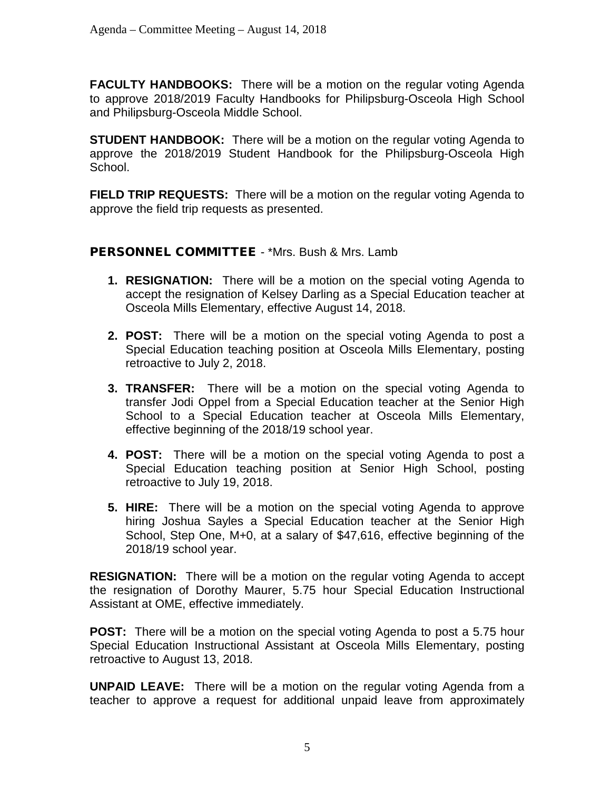**FACULTY HANDBOOKS:** There will be a motion on the regular voting Agenda to approve 2018/2019 Faculty Handbooks for Philipsburg-Osceola High School and Philipsburg-Osceola Middle School.

**STUDENT HANDBOOK:** There will be a motion on the regular voting Agenda to approve the 2018/2019 Student Handbook for the Philipsburg-Osceola High School.

**FIELD TRIP REQUESTS:** There will be a motion on the regular voting Agenda to approve the field trip requests as presented.

#### PERSONNEL COMMITTEE - \*Mrs. Bush & Mrs. Lamb

- **1. RESIGNATION:** There will be a motion on the special voting Agenda to accept the resignation of Kelsey Darling as a Special Education teacher at Osceola Mills Elementary, effective August 14, 2018.
- **2. POST:** There will be a motion on the special voting Agenda to post a Special Education teaching position at Osceola Mills Elementary, posting retroactive to July 2, 2018.
- **3. TRANSFER:** There will be a motion on the special voting Agenda to transfer Jodi Oppel from a Special Education teacher at the Senior High School to a Special Education teacher at Osceola Mills Elementary, effective beginning of the 2018/19 school year.
- **4. POST:** There will be a motion on the special voting Agenda to post a Special Education teaching position at Senior High School, posting retroactive to July 19, 2018.
- **5. HIRE:** There will be a motion on the special voting Agenda to approve hiring Joshua Sayles a Special Education teacher at the Senior High School, Step One, M+0, at a salary of \$47,616, effective beginning of the 2018/19 school year.

**RESIGNATION:** There will be a motion on the regular voting Agenda to accept the resignation of Dorothy Maurer, 5.75 hour Special Education Instructional Assistant at OME, effective immediately.

**POST:** There will be a motion on the special voting Agenda to post a 5.75 hour Special Education Instructional Assistant at Osceola Mills Elementary, posting retroactive to August 13, 2018.

**UNPAID LEAVE:** There will be a motion on the regular voting Agenda from a teacher to approve a request for additional unpaid leave from approximately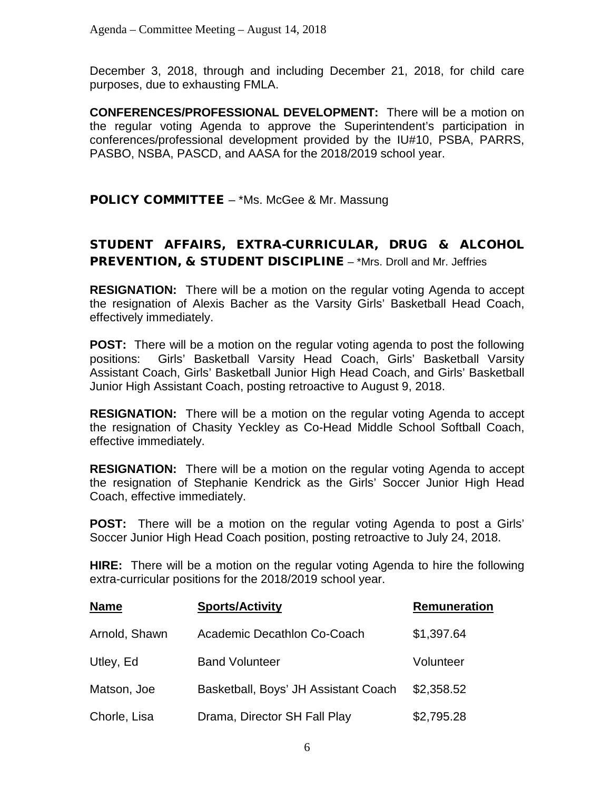December 3, 2018, through and including December 21, 2018, for child care purposes, due to exhausting FMLA.

**CONFERENCES/PROFESSIONAL DEVELOPMENT:** There will be a motion on the regular voting Agenda to approve the Superintendent's participation in conferences/professional development provided by the IU#10, PSBA, PARRS, PASBO, NSBA, PASCD, and AASA for the 2018/2019 school year.

**POLICY COMMITTEE** – \*Ms. McGee & Mr. Massung

# STUDENT AFFAIRS, EXTRA-CURRICULAR, DRUG & ALCOHOL PREVENTION, & STUDENT DISCIPLINE – \*Mrs. Droll and Mr. Jeffries

**RESIGNATION:** There will be a motion on the regular voting Agenda to accept the resignation of Alexis Bacher as the Varsity Girls' Basketball Head Coach, effectively immediately.

**POST:** There will be a motion on the regular voting agenda to post the following positions: Girls' Basketball Varsity Head Coach, Girls' Basketball Varsity Assistant Coach, Girls' Basketball Junior High Head Coach, and Girls' Basketball Junior High Assistant Coach, posting retroactive to August 9, 2018.

**RESIGNATION:** There will be a motion on the regular voting Agenda to accept the resignation of Chasity Yeckley as Co-Head Middle School Softball Coach, effective immediately.

**RESIGNATION:** There will be a motion on the regular voting Agenda to accept the resignation of Stephanie Kendrick as the Girls' Soccer Junior High Head Coach, effective immediately.

**POST:** There will be a motion on the regular voting Agenda to post a Girls' Soccer Junior High Head Coach position, posting retroactive to July 24, 2018.

**HIRE:** There will be a motion on the regular voting Agenda to hire the following extra-curricular positions for the 2018/2019 school year.

| <b>Name</b>   | <b>Sports/Activity</b>               | <b>Remuneration</b> |
|---------------|--------------------------------------|---------------------|
| Arnold, Shawn | Academic Decathlon Co-Coach          | \$1,397.64          |
| Utley, Ed     | <b>Band Volunteer</b>                | Volunteer           |
| Matson, Joe   | Basketball, Boys' JH Assistant Coach | \$2,358.52          |
| Chorle, Lisa  | Drama, Director SH Fall Play         | \$2,795.28          |